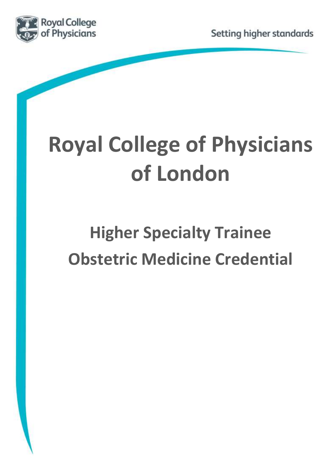



# **Royal College of Physicians of London**

# **Higher Specialty Trainee Obstetric Medicine Credential**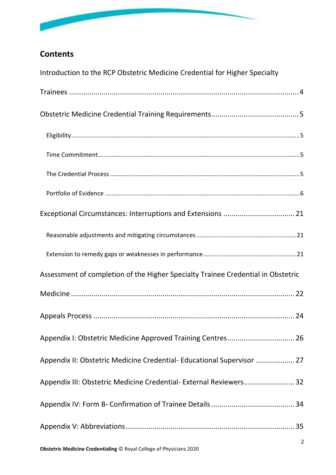

# **Contents**

| Introduction to the RCP Obstetric Medicine Credential for Higher Specialty       |
|----------------------------------------------------------------------------------|
|                                                                                  |
|                                                                                  |
|                                                                                  |
|                                                                                  |
|                                                                                  |
|                                                                                  |
| Exceptional Circumstances: Interruptions and Extensions  21                      |
|                                                                                  |
|                                                                                  |
| Assessment of completion of the Higher Specialty Trainee Credential in Obstetric |
|                                                                                  |
|                                                                                  |
|                                                                                  |
| Appendix II: Obstetric Medicine Credential- Educational Supervisor  27           |
| Appendix III: Obstetric Medicine Credential- External Reviewers 32               |
|                                                                                  |
|                                                                                  |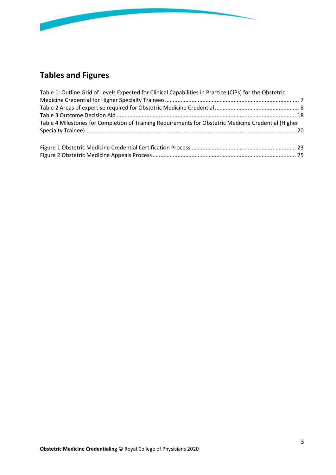

# **Tables and Figures**

| Table 1: Outline Grid of Levels Expected for Clinical Capabilities in Practice (CiPs) for the Obstetric |  |
|---------------------------------------------------------------------------------------------------------|--|
|                                                                                                         |  |
|                                                                                                         |  |
|                                                                                                         |  |
| Table 4 Milestones for Completion of Training Requirements for Obstetric Medicine Credential (Higher    |  |
|                                                                                                         |  |
|                                                                                                         |  |
|                                                                                                         |  |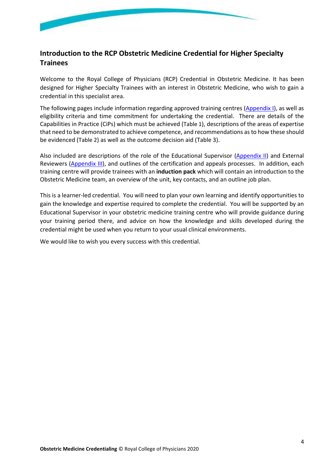

## <span id="page-3-0"></span>**Introduction to the RCP Obstetric Medicine Credential for Higher Specialty Trainees**

Welcome to the Royal College of Physicians (RCP) Credential in Obstetric Medicine. It has been designed for Higher Specialty Trainees with an interest in Obstetric Medicine, who wish to gain a credential in this specialist area.

The following pages include information regarding approved training centres [\(Appendix I\)](#page-25-0), as well as eligibility criteria and time commitment for undertaking the credential. There are details of the Capabilities in Practice (CiPs) which must be achieved ([Table 1](#page-6-0)), descriptions of the areas of expertise that need to be demonstrated to achieve competence, and recommendations as to how these should be evidenced ([Table 2](#page-7-0)) as well as the outcome decision aid [\(Table 3\)](#page-17-0).

Also included are descriptions of the role of the Educational Supervisor [\(Appendix II\)](#page-26-0) and External Reviewers [\(Appendix III\)](#page-30-0), and outlines of the certification and appeals processes. In addition, each training centre will provide trainees with an **induction pack** which will contain an introduction to the Obstetric Medicine team, an overview of the unit, key contacts, and an outline job plan.

This is a learner-led credential. You will need to plan your own learning and identify opportunities to gain the knowledge and expertise required to complete the credential. You will be supported by an Educational Supervisor in your obstetric medicine training centre who will provide guidance during your training period there, and advice on how the knowledge and skills developed during the credential might be used when you return to your usual clinical environments.

We would like to wish you every success with this credential.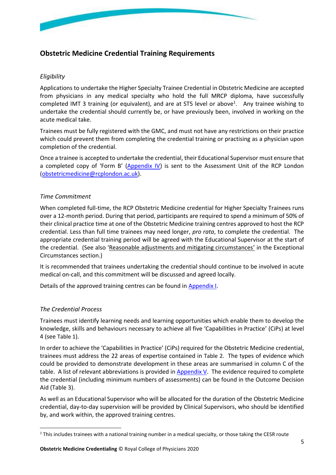

## <span id="page-4-0"></span>**Obstetric Medicine Credential Training Requirements**

#### <span id="page-4-1"></span>*Eligibility*

Applications to undertake the Higher Specialty Trainee Credential in Obstetric Medicine are accepted from physicians in any medical specialty who hold the full MRCP diploma, have successfully completed IMT 3 training (or equivalent), and are at ST5 level or above<sup>1</sup>. Any trainee wishing to undertake the credential should currently be, or have previously been, involved in working on the acute medical take.

Trainees must be fully registered with the GMC, and must not have any restrictions on their practice which could prevent them from completing the credential training or practising as a physician upon completion of the credential.

Once a trainee is accepted to undertake the credential, their Educational Supervisor must ensure that a completed copy of 'Form B' [\(Appendix IV\)](#page-33-0) is sent to the Assessment Unit of the RCP London [\(obstetricmedicine@rcplondon.ac.uk\)](mailto:obstetricmedicine@rcplondon.ac.uk).

#### <span id="page-4-2"></span>*Time Commitment*

When completed full-time, the RCP Obstetric Medicine credential for Higher Specialty Trainees runs over a 12-month period. During that period, participants are required to spend a minimum of 50% of their clinical practice time at one of the Obstetric Medicine training centres approved to host the RCP credential. Less than full time trainees may need longer, *pro rata*, to complete the credential. The appropriate credential training period will be agreed with the Educational Supervisor at the start of the credential. (See also '[Reasonable adjustments and mitigating circumstances](#page-20-1)' in the Exceptional Circumstances section.)

It is recommended that trainees undertaking the credential should continue to be involved in acute medical on-call, and this commitment will be discussed and agreed locally.

Details of the approved training centres can be found in [Appendix I.](#page-25-0)

#### <span id="page-4-3"></span>*The Credential Process*

Trainees must identify learning needs and learning opportunities which enable them to develop the knowledge, skills and behaviours necessary to achieve all five 'Capabilities in Practice' (CiPs) at level 4 (see [Table 1](#page-6-0)).

In order to achieve the 'Capabilities in Practice' (CiPs) required for the Obstetric Medicine credential, trainees must address the 22 areas of expertise contained in [Table 2](#page-7-0). The types of evidence which could be provided to demonstrate development in these areas are summarised in column C of the table. A list of relevant abbreviations is provided in [Appendix V.](#page-34-0) The evidence required to complete the credential (including minimum numbers of assessments) can be found in the Outcome Decision Aid [\(Table 3\)](#page-17-0).

As well as an Educational Supervisor who will be allocated for the duration of the Obstetric Medicine credential, day-to-day supervision will be provided by Clinical Supervisors, who should be identified by, and work within, the approved training centres.

 $1$  This includes trainees with a national training number in a medical specialty, or those taking the CESR route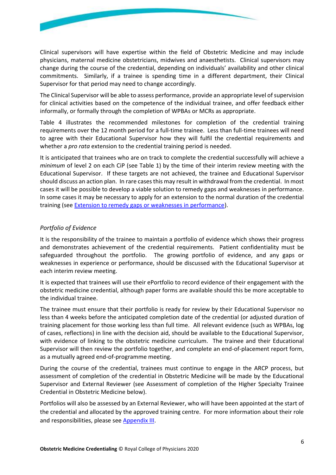

Clinical supervisors will have expertise within the field of Obstetric Medicine and may include physicians, maternal medicine obstetricians, midwives and anaesthetists. Clinical supervisors may change during the course of the credential, depending on individuals' availability and other clinical commitments. Similarly, if a trainee is spending time in a different department, their Clinical Supervisor for that period may need to change accordingly.

The Clinical Supervisor will be able to assess performance, provide an appropriate level of supervision for clinical activities based on the competence of the individual trainee, and offer feedback either informally, or formally through the completion of WPBAs or MCRs as appropriate.

[Table 4](#page-19-0) illustrates the recommended milestones for completion of the credential training requirements over the 12 month period for a full-time trainee. Less than full-time trainees will need to agree with their Educational Supervisor how they will fulfil the credential requirements and whether a *pro rata* extension to the credential training period is needed.

It is anticipated that trainees who are on track to complete the credential successfully will achieve a *minimum* of level 2 on each CiP (see [Table 1\)](#page-6-0) by the time of their interim review meeting with the Educational Supervisor. If these targets are not achieved, the trainee and Educational Supervisor should discuss an action plan. In rare cases this may result in withdrawal from the credential. In most cases it will be possible to develop a viable solution to remedy gaps and weaknesses in performance. In some cases it may be necessary to apply for an extension to the normal duration of the credential training (see [Extension to remedy gaps or weaknesses in performance\)](#page-20-2).

#### <span id="page-5-0"></span>*Portfolio of Evidence*

It is the responsibility of the trainee to maintain a portfolio of evidence which shows their progress and demonstrates achievement of the credential requirements. Patient confidentiality must be safeguarded throughout the portfolio. The growing portfolio of evidence, and any gaps or weaknesses in experience or performance, should be discussed with the Educational Supervisor at each interim review meeting.

It is expected that trainees will use their ePortfolio to record evidence of their engagement with the obstetric medicine credential, although paper forms are available should this be more acceptable to the individual trainee.

The trainee must ensure that their portfolio is ready for review by their Educational Supervisor no less than 4 weeks before the anticipated completion date of the credential (or adjusted duration of training placement for those working less than full time. All relevant evidence (such as WPBAs, log of cases, reflections) in line with the decision aid, should be available to the Educational Supervisor, with evidence of linking to the obstetric medicine curriculum. The trainee and their Educational Supervisor will then review the portfolio together, and complete an end-of-placement report form, as a mutually agreed end-of-programme meeting.

During the course of the credential, trainees must continue to engage in the ARCP process, but assessment of completion of the credential in Obstetric Medicine will be made by the Educational Supervisor and External Reviewer (see [Assessment of completion of the Higher Specialty Trainee](#page-21-0) [Credential in Obstetric Medicine](#page-21-0) below).

Portfolios will also be assessed by an External Reviewer, who will have been appointed at the start of the credential and allocated by the approved training centre. For more information about their role and responsibilities, please see [Appendix III.](#page-30-0)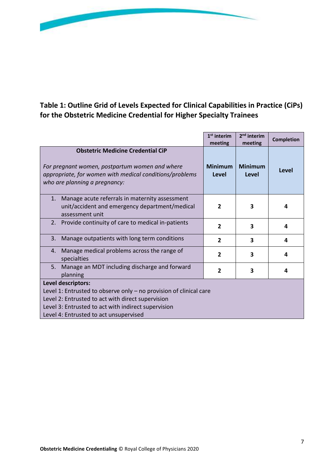

## <span id="page-6-0"></span>**Table 1: Outline Grid of Levels Expected for Clinical Capabilities in Practice (CiPs) for the Obstetric Medicine Credential for Higher Specialty Trainees**

|                                                                                                                                                                                        | $1st$ interim<br>meeting | 2 <sup>nd</sup> interim<br>meeting | <b>Completion</b> |
|----------------------------------------------------------------------------------------------------------------------------------------------------------------------------------------|--------------------------|------------------------------------|-------------------|
| <b>Obstetric Medicine Credential CiP</b><br>For pregnant women, postpartum women and where<br>appropriate, for women with medical conditions/problems<br>who are planning a pregnancy: | <b>Minimum</b><br>Level  | <b>Minimum</b><br>Level            | Level             |
| Manage acute referrals in maternity assessment<br>1.<br>unit/accident and emergency department/medical<br>assessment unit                                                              | $\overline{2}$           | 3                                  | 4                 |
| Provide continuity of care to medical in-patients<br>2.                                                                                                                                | $\overline{2}$           | 3                                  | 4                 |
| Manage outpatients with long term conditions<br>3.                                                                                                                                     | $\overline{2}$           | 3                                  | 4                 |
| 4. Manage medical problems across the range of<br>specialties                                                                                                                          | $\overline{2}$           | 3                                  | 4                 |
| Manage an MDT including discharge and forward<br>5.<br>planning                                                                                                                        | $\overline{2}$           | 3                                  | 4                 |
| Level descriptors:                                                                                                                                                                     |                          |                                    |                   |
| Level 1: Entrusted to observe only $-$ no provision of clinical care                                                                                                                   |                          |                                    |                   |
| Level 2: Entrusted to act with direct supervision                                                                                                                                      |                          |                                    |                   |
| Level 3: Entrusted to act with indirect supervision                                                                                                                                    |                          |                                    |                   |
| Level 4: Entrusted to act unsupervised                                                                                                                                                 |                          |                                    |                   |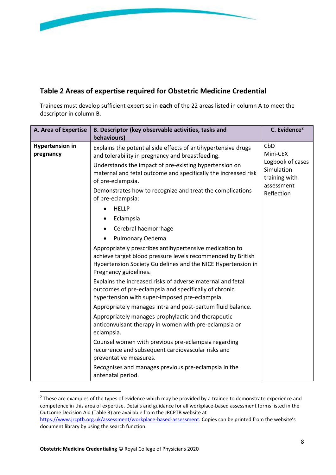

## <span id="page-7-0"></span>**Table 2 Areas of expertise required for Obstetric Medicine Credential**

Trainees must develop sufficient expertise in **each** of the 22 areas listed in column A to meet the descriptor in column B.

| A. Area of Expertise                | B. Descriptor (key observable activities, tasks and                                                                                                                                                             | C. Evidence <sup>2</sup>                                                                       |
|-------------------------------------|-----------------------------------------------------------------------------------------------------------------------------------------------------------------------------------------------------------------|------------------------------------------------------------------------------------------------|
|                                     | behaviours)                                                                                                                                                                                                     |                                                                                                |
| <b>Hypertension in</b><br>pregnancy | Explains the potential side effects of antihypertensive drugs<br>and tolerability in pregnancy and breastfeeding.                                                                                               | CbD<br>Mini-CEX<br>Logbook of cases<br>Simulation<br>training with<br>assessment<br>Reflection |
|                                     | Understands the impact of pre-existing hypertension on<br>maternal and fetal outcome and specifically the increased risk<br>of pre-eclampsia.                                                                   |                                                                                                |
|                                     | Demonstrates how to recognize and treat the complications<br>of pre-eclampsia:                                                                                                                                  |                                                                                                |
|                                     | <b>HELLP</b>                                                                                                                                                                                                    |                                                                                                |
|                                     | Eclampsia                                                                                                                                                                                                       |                                                                                                |
|                                     | Cerebral haemorrhage                                                                                                                                                                                            |                                                                                                |
|                                     | Pulmonary Oedema                                                                                                                                                                                                |                                                                                                |
|                                     | Appropriately prescribes antihypertensive medication to<br>achieve target blood pressure levels recommended by British<br>Hypertension Society Guidelines and the NICE Hypertension in<br>Pregnancy guidelines. |                                                                                                |
|                                     | Explains the increased risks of adverse maternal and fetal<br>outcomes of pre-eclampsia and specifically of chronic<br>hypertension with super-imposed pre-eclampsia.                                           |                                                                                                |
|                                     | Appropriately manages intra and post-partum fluid balance.                                                                                                                                                      |                                                                                                |
|                                     | Appropriately manages prophylactic and therapeutic<br>anticonvulsant therapy in women with pre-eclampsia or<br>eclampsia.                                                                                       |                                                                                                |
|                                     | Counsel women with previous pre-eclampsia regarding<br>recurrence and subsequent cardiovascular risks and<br>preventative measures.                                                                             |                                                                                                |
|                                     | Recognises and manages previous pre-eclampsia in the<br>antenatal period.                                                                                                                                       |                                                                                                |

 $2$  These are examples of the types of evidence which may be provided by a trainee to demonstrate experience and competence in this area of expertise. Details and guidance for all workplace-based assessment forms listed in the Outcome Decision Aid [\(Table 3\)](#page-17-0) are available from the JRCPTB website at <https://www.jrcptb.org.uk/assessment/workplace-based-assessment>. Copies can be printed from the website's document library by using the search function.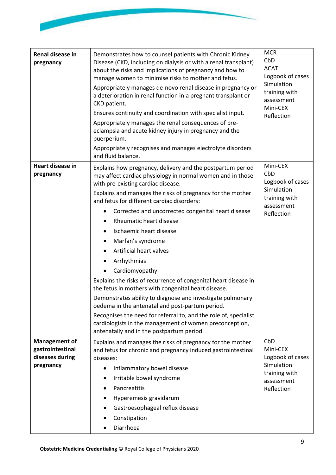| Renal disease in<br>pregnancy                                            | Demonstrates how to counsel patients with Chronic Kidney<br>Disease (CKD, including on dialysis or with a renal transplant)<br>about the risks and implications of pregnancy and how to<br>manage women to minimise risks to mother and fetus.<br>Appropriately manages de-novo renal disease in pregnancy or<br>a deterioration in renal function in a pregnant transplant or<br>CKD patient.<br>Ensures continuity and coordination with specialist input.<br>Appropriately manages the renal consequences of pre-<br>eclampsia and acute kidney injury in pregnancy and the<br>puerperium.<br>Appropriately recognises and manages electrolyte disorders<br>and fluid balance.                                                                                                                                                                                                                                        | <b>MCR</b><br>CbD<br><b>ACAT</b><br>Logbook of cases<br>Simulation<br>training with<br>assessment<br>Mini-CEX<br>Reflection |
|--------------------------------------------------------------------------|--------------------------------------------------------------------------------------------------------------------------------------------------------------------------------------------------------------------------------------------------------------------------------------------------------------------------------------------------------------------------------------------------------------------------------------------------------------------------------------------------------------------------------------------------------------------------------------------------------------------------------------------------------------------------------------------------------------------------------------------------------------------------------------------------------------------------------------------------------------------------------------------------------------------------|-----------------------------------------------------------------------------------------------------------------------------|
| Heart disease in<br>pregnancy                                            | Explains how pregnancy, delivery and the postpartum period<br>may affect cardiac physiology in normal women and in those<br>with pre-existing cardiac disease.<br>Explains and manages the risks of pregnancy for the mother<br>and fetus for different cardiac disorders:<br>Corrected and uncorrected congenital heart disease<br>Rheumatic heart disease<br>Ischaemic heart disease<br>$\bullet$<br>Marfan's syndrome<br>$\bullet$<br>Artificial heart valves<br>Arrhythmias<br>Cardiomyopathy<br>Explains the risks of recurrence of congenital heart disease in<br>the fetus in mothers with congenital heart disease.<br>Demonstrates ability to diagnose and investigate pulmonary<br>oedema in the antenatal and post-partum period.<br>Recognises the need for referral to, and the role of, specialist<br>cardiologists in the management of women preconception,<br>antenatally and in the postpartum period. | Mini-CEX<br>CbD<br>Logbook of cases<br>Simulation<br>training with<br>assessment<br>Reflection                              |
| <b>Management of</b><br>gastrointestinal<br>diseases during<br>pregnancy | Explains and manages the risks of pregnancy for the mother<br>and fetus for chronic and pregnancy induced gastrointestinal<br>diseases:<br>Inflammatory bowel disease<br>$\bullet$<br>Irritable bowel syndrome<br>Pancreatitis<br>Hyperemesis gravidarum<br>Gastroesophageal reflux disease<br>Constipation<br>Diarrhoea                                                                                                                                                                                                                                                                                                                                                                                                                                                                                                                                                                                                 | CbD<br>Mini-CEX<br>Logbook of cases<br>Simulation<br>training with<br>assessment<br>Reflection                              |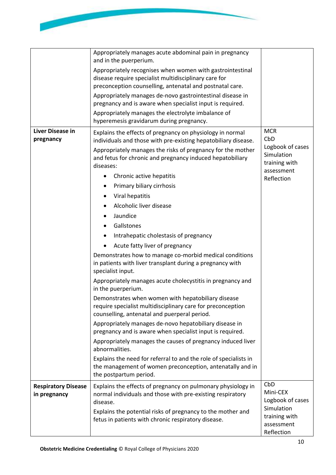

|                                            | Appropriately manages acute abdominal pain in pregnancy<br>and in the puerperium.<br>Appropriately recognises when women with gastrointestinal<br>disease require specialist multidisciplinary care for<br>preconception counselling, antenatal and postnatal care.<br>Appropriately manages de-novo gastrointestinal disease in<br>pregnancy and is aware when specialist input is required.<br>Appropriately manages the electrolyte imbalance of<br>hyperemesis gravidarum during pregnancy.                                                                                                                                                                                                                                                                                                                                                                                                                                                                                                                                                                                                                                                                                                                                                           |                                                                                                  |
|--------------------------------------------|-----------------------------------------------------------------------------------------------------------------------------------------------------------------------------------------------------------------------------------------------------------------------------------------------------------------------------------------------------------------------------------------------------------------------------------------------------------------------------------------------------------------------------------------------------------------------------------------------------------------------------------------------------------------------------------------------------------------------------------------------------------------------------------------------------------------------------------------------------------------------------------------------------------------------------------------------------------------------------------------------------------------------------------------------------------------------------------------------------------------------------------------------------------------------------------------------------------------------------------------------------------|--------------------------------------------------------------------------------------------------|
| <b>Liver Disease in</b><br>pregnancy       | Explains the effects of pregnancy on physiology in normal<br>individuals and those with pre-existing hepatobiliary disease.<br>Appropriately manages the risks of pregnancy for the mother<br>and fetus for chronic and pregnancy induced hepatobiliary<br>diseases:<br>Chronic active hepatitis<br>Primary biliary cirrhosis<br>Viral hepatitis<br>Alcoholic liver disease<br>Jaundice<br>Gallstones<br>Intrahepatic cholestasis of pregnancy<br>Acute fatty liver of pregnancy<br>Demonstrates how to manage co-morbid medical conditions<br>in patients with liver transplant during a pregnancy with<br>specialist input.<br>Appropriately manages acute cholecystitis in pregnancy and<br>in the puerperium.<br>Demonstrates when women with hepatobiliary disease<br>require specialist multidisciplinary care for preconception<br>counselling, antenatal and puerperal period.<br>Appropriately manages de-novo hepatobiliary disease in<br>pregnancy and is aware when specialist input is required.<br>Appropriately manages the causes of pregnancy induced liver<br>abnormalities.<br>Explains the need for referral to and the role of specialists in<br>the management of women preconception, antenatally and in<br>the postpartum period. | <b>MCR</b><br>CbD<br>Logbook of cases<br>Simulation<br>training with<br>assessment<br>Reflection |
| <b>Respiratory Disease</b><br>in pregnancy | Explains the effects of pregnancy on pulmonary physiology in<br>normal individuals and those with pre-existing respiratory<br>disease.<br>Explains the potential risks of pregnancy to the mother and<br>fetus in patients with chronic respiratory disease.                                                                                                                                                                                                                                                                                                                                                                                                                                                                                                                                                                                                                                                                                                                                                                                                                                                                                                                                                                                              | CbD<br>Mini-CEX<br>Logbook of cases<br>Simulation<br>training with<br>assessment<br>Reflection   |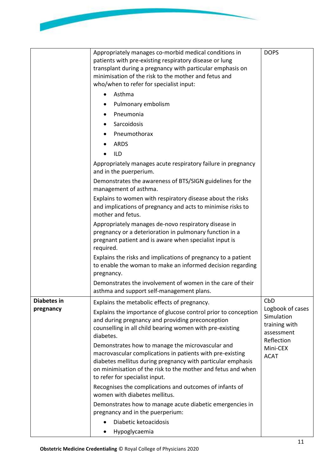| Appropriately manages co-morbid medical conditions in<br>potionts with are ovieting respiratory disease or lung | <b>DOPS</b> |
|-----------------------------------------------------------------------------------------------------------------|-------------|

|                    | patients with pre-existing respiratory disease or lung<br>transplant during a pregnancy with particular emphasis on<br>minimisation of the risk to the mother and fetus and<br>who/when to refer for specialist input:<br>Asthma<br>$\bullet$<br>Pulmonary embolism<br>Pneumonia<br>Sarcoidosis<br>Pneumothorax<br><b>ARDS</b>                                                                                                                                                |                                                                                                        |
|--------------------|-------------------------------------------------------------------------------------------------------------------------------------------------------------------------------------------------------------------------------------------------------------------------------------------------------------------------------------------------------------------------------------------------------------------------------------------------------------------------------|--------------------------------------------------------------------------------------------------------|
|                    | <b>ILD</b><br>Appropriately manages acute respiratory failure in pregnancy<br>and in the puerperium.                                                                                                                                                                                                                                                                                                                                                                          |                                                                                                        |
|                    | Demonstrates the awareness of BTS/SIGN guidelines for the<br>management of asthma.                                                                                                                                                                                                                                                                                                                                                                                            |                                                                                                        |
|                    | Explains to women with respiratory disease about the risks<br>and implications of pregnancy and acts to minimise risks to<br>mother and fetus.                                                                                                                                                                                                                                                                                                                                |                                                                                                        |
|                    | Appropriately manages de-novo respiratory disease in<br>pregnancy or a deterioration in pulmonary function in a<br>pregnant patient and is aware when specialist input is<br>required.                                                                                                                                                                                                                                                                                        |                                                                                                        |
|                    | Explains the risks and implications of pregnancy to a patient<br>to enable the woman to make an informed decision regarding<br>pregnancy.                                                                                                                                                                                                                                                                                                                                     |                                                                                                        |
|                    | Demonstrates the involvement of women in the care of their<br>asthma and support self-management plans.                                                                                                                                                                                                                                                                                                                                                                       |                                                                                                        |
| <b>Diabetes in</b> | Explains the metabolic effects of pregnancy.                                                                                                                                                                                                                                                                                                                                                                                                                                  | CbD                                                                                                    |
| pregnancy          | Explains the importance of glucose control prior to conception<br>and during pregnancy and providing preconception<br>counselling in all child bearing women with pre-existing<br>diabetes.<br>Demonstrates how to manage the microvascular and<br>macrovascular complications in patients with pre-existing<br>diabetes mellitus during pregnancy with particular emphasis<br>on minimisation of the risk to the mother and fetus and when<br>to refer for specialist input. | Logbook of cases<br>Simulation<br>training with<br>assessment<br>Reflection<br>Mini-CEX<br><b>ACAT</b> |
|                    | Recognises the complications and outcomes of infants of<br>women with diabetes mellitus.                                                                                                                                                                                                                                                                                                                                                                                      |                                                                                                        |
|                    | Demonstrates how to manage acute diabetic emergencies in<br>pregnancy and in the puerperium:                                                                                                                                                                                                                                                                                                                                                                                  |                                                                                                        |
|                    | Diabetic ketoacidosis                                                                                                                                                                                                                                                                                                                                                                                                                                                         |                                                                                                        |
|                    | Hypoglycaemia<br>$\bullet$                                                                                                                                                                                                                                                                                                                                                                                                                                                    |                                                                                                        |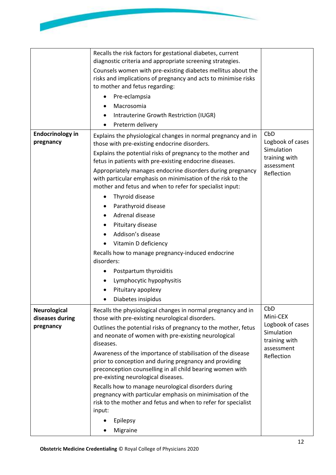

|                                        | Recalls the risk factors for gestational diabetes, current                                                                                                                                                                |                                                               |
|----------------------------------------|---------------------------------------------------------------------------------------------------------------------------------------------------------------------------------------------------------------------------|---------------------------------------------------------------|
|                                        | diagnostic criteria and appropriate screening strategies.<br>Counsels women with pre-existing diabetes mellitus about the                                                                                                 |                                                               |
|                                        | risks and implications of pregnancy and acts to minimise risks                                                                                                                                                            |                                                               |
|                                        | to mother and fetus regarding:                                                                                                                                                                                            |                                                               |
|                                        | Pre-eclampsia                                                                                                                                                                                                             |                                                               |
|                                        | Macrosomia                                                                                                                                                                                                                |                                                               |
|                                        | Intrauterine Growth Restriction (IUGR)                                                                                                                                                                                    |                                                               |
|                                        | Preterm delivery<br>$\bullet$                                                                                                                                                                                             |                                                               |
| <b>Endocrinology in</b><br>pregnancy   | Explains the physiological changes in normal pregnancy and in<br>those with pre-existing endocrine disorders.                                                                                                             | CbD<br>Logbook of cases                                       |
|                                        | Explains the potential risks of pregnancy to the mother and<br>fetus in patients with pre-existing endocrine diseases.                                                                                                    | Simulation<br>training with<br>assessment                     |
|                                        | Appropriately manages endocrine disorders during pregnancy<br>with particular emphasis on minimisation of the risk to the<br>mother and fetus and when to refer for specialist input:                                     | Reflection                                                    |
|                                        | Thyroid disease                                                                                                                                                                                                           |                                                               |
|                                        | Parathyroid disease                                                                                                                                                                                                       |                                                               |
|                                        | Adrenal disease                                                                                                                                                                                                           |                                                               |
|                                        | Pituitary disease                                                                                                                                                                                                         |                                                               |
|                                        | Addison's disease                                                                                                                                                                                                         |                                                               |
|                                        | Vitamin D deficiency                                                                                                                                                                                                      |                                                               |
|                                        | Recalls how to manage pregnancy-induced endocrine                                                                                                                                                                         |                                                               |
|                                        | disorders:                                                                                                                                                                                                                |                                                               |
|                                        | Postpartum thyroiditis                                                                                                                                                                                                    |                                                               |
|                                        | Lymphocytic hypophysitis                                                                                                                                                                                                  |                                                               |
|                                        | Pituitary apoplexy                                                                                                                                                                                                        |                                                               |
|                                        | Diabetes insipidus                                                                                                                                                                                                        |                                                               |
| <b>Neurological</b><br>diseases during | Recalls the physiological changes in normal pregnancy and in<br>those with pre-existing neurological disorders.                                                                                                           | CbD<br>Mini-CEX                                               |
| pregnancy                              | Outlines the potential risks of pregnancy to the mother, fetus<br>and neonate of women with pre-existing neurological<br>diseases.                                                                                        | Logbook of cases<br>Simulation<br>training with<br>assessment |
|                                        | Awareness of the importance of stabilisation of the disease<br>prior to conception and during pregnancy and providing<br>preconception counselling in all child bearing women with<br>pre-existing neurological diseases. | Reflection                                                    |
|                                        | Recalls how to manage neurological disorders during<br>pregnancy with particular emphasis on minimisation of the<br>risk to the mother and fetus and when to refer for specialist<br>input:                               |                                                               |
|                                        | Epilepsy                                                                                                                                                                                                                  |                                                               |
|                                        |                                                                                                                                                                                                                           |                                                               |
|                                        | Migraine                                                                                                                                                                                                                  |                                                               |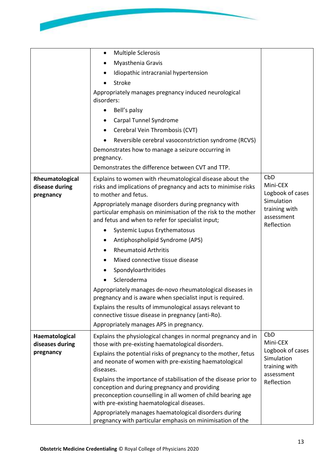

|                                                | <b>Multiple Sclerosis</b><br>$\bullet$                                                                                                                                                                                         |                                                 |
|------------------------------------------------|--------------------------------------------------------------------------------------------------------------------------------------------------------------------------------------------------------------------------------|-------------------------------------------------|
|                                                | Myasthenia Gravis                                                                                                                                                                                                              |                                                 |
|                                                | Idiopathic intracranial hypertension                                                                                                                                                                                           |                                                 |
|                                                | Stroke                                                                                                                                                                                                                         |                                                 |
|                                                | Appropriately manages pregnancy induced neurological<br>disorders:                                                                                                                                                             |                                                 |
|                                                | Bell's palsy<br>$\bullet$                                                                                                                                                                                                      |                                                 |
|                                                | Carpal Tunnel Syndrome                                                                                                                                                                                                         |                                                 |
|                                                | Cerebral Vein Thrombosis (CVT)                                                                                                                                                                                                 |                                                 |
|                                                | Reversible cerebral vasoconstriction syndrome (RCVS)                                                                                                                                                                           |                                                 |
|                                                | Demonstrates how to manage a seizure occurring in                                                                                                                                                                              |                                                 |
|                                                | pregnancy.                                                                                                                                                                                                                     |                                                 |
|                                                | Demonstrates the difference between CVT and TTP.                                                                                                                                                                               |                                                 |
| Rheumatological<br>disease during<br>pregnancy | Explains to women with rheumatological disease about the<br>risks and implications of pregnancy and acts to minimise risks<br>to mother and fetus.                                                                             | CbD<br>Mini-CEX<br>Logbook of cases             |
|                                                | Appropriately manage disorders during pregnancy with<br>particular emphasis on minimisation of the risk to the mother<br>and fetus and when to refer for specialist input;                                                     | Simulation<br>training with<br>assessment       |
|                                                | Systemic Lupus Erythematosus                                                                                                                                                                                                   | Reflection                                      |
|                                                | Antiphospholipid Syndrome (APS)                                                                                                                                                                                                |                                                 |
|                                                | <b>Rheumatoid Arthritis</b>                                                                                                                                                                                                    |                                                 |
|                                                | Mixed connective tissue disease                                                                                                                                                                                                |                                                 |
|                                                | Spondyloarthritides                                                                                                                                                                                                            |                                                 |
|                                                | Scleroderma                                                                                                                                                                                                                    |                                                 |
|                                                | Appropriately manages de-novo rheumatological diseases in<br>pregnancy and is aware when specialist input is required.                                                                                                         |                                                 |
|                                                | Explains the results of immunological assays relevant to                                                                                                                                                                       |                                                 |
|                                                | connective tissue disease in pregnancy (anti-Ro).                                                                                                                                                                              |                                                 |
|                                                | Appropriately manages APS in pregnancy.                                                                                                                                                                                        |                                                 |
| Haematological<br>diseases during              | Explains the physiological changes in normal pregnancy and in<br>those with pre-existing haematological disorders.                                                                                                             | CbD<br>Mini-CEX                                 |
| pregnancy                                      | Explains the potential risks of pregnancy to the mother, fetus<br>and neonate of women with pre-existing haematological<br>diseases.                                                                                           | Logbook of cases<br>Simulation<br>training with |
|                                                | Explains the importance of stabilisation of the disease prior to<br>conception and during pregnancy and providing<br>preconception counselling in all women of child bearing age<br>with pre-existing haematological diseases. | assessment<br>Reflection                        |
|                                                | Appropriately manages haematological disorders during<br>pregnancy with particular emphasis on minimisation of the                                                                                                             |                                                 |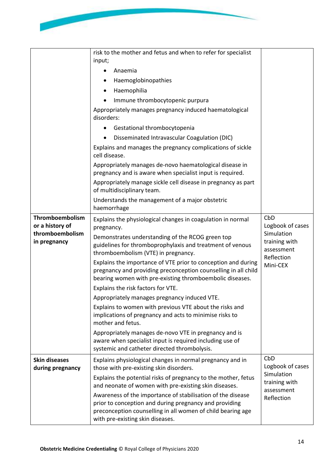|                                          | risk to the mother and fetus and when to refer for specialist<br>input;                                                                                                                     |                                           |
|------------------------------------------|---------------------------------------------------------------------------------------------------------------------------------------------------------------------------------------------|-------------------------------------------|
|                                          | Anaemia                                                                                                                                                                                     |                                           |
|                                          | Haemoglobinopathies                                                                                                                                                                         |                                           |
|                                          | Haemophilia                                                                                                                                                                                 |                                           |
|                                          | Immune thrombocytopenic purpura                                                                                                                                                             |                                           |
|                                          | Appropriately manages pregnancy induced haematological<br>disorders:                                                                                                                        |                                           |
|                                          | Gestational thrombocytopenia                                                                                                                                                                |                                           |
|                                          | Disseminated Intravascular Coagulation (DIC)                                                                                                                                                |                                           |
|                                          | Explains and manages the pregnancy complications of sickle<br>cell disease.                                                                                                                 |                                           |
|                                          | Appropriately manages de-novo haematological disease in<br>pregnancy and is aware when specialist input is required.                                                                        |                                           |
|                                          | Appropriately manage sickle cell disease in pregnancy as part<br>of multidisciplinary team.                                                                                                 |                                           |
|                                          | Understands the management of a major obstetric<br>haemorrhage                                                                                                                              |                                           |
| Thromboembolism<br>or a history of       | Explains the physiological changes in coagulation in normal<br>pregnancy.                                                                                                                   | CbD<br>Logbook of cases                   |
| thromboembolism<br>in pregnancy          | Demonstrates understanding of the RCOG green top<br>guidelines for thromboprophylaxis and treatment of venous<br>thromboembolism (VTE) in pregnancy.                                        | Simulation<br>training with<br>assessment |
|                                          | Explains the importance of VTE prior to conception and during<br>pregnancy and providing preconception counselling in all child<br>bearing women with pre-existing thromboembolic diseases. | Reflection<br>Mini-CEX                    |
|                                          | Explains the risk factors for VTE.                                                                                                                                                          |                                           |
|                                          | Appropriately manages pregnancy induced VTE.                                                                                                                                                |                                           |
|                                          | Explains to women with previous VTE about the risks and<br>implications of pregnancy and acts to minimise risks to<br>mother and fetus.                                                     |                                           |
|                                          | Appropriately manages de-novo VTE in pregnancy and is<br>aware when specialist input is required including use of<br>systemic and catheter directed thrombolysis.                           |                                           |
| <b>Skin diseases</b><br>during pregnancy | Explains physiological changes in normal pregnancy and in<br>those with pre-existing skin disorders.                                                                                        | CbD<br>Logbook of cases                   |
|                                          | Explains the potential risks of pregnancy to the mother, fetus<br>and neonate of women with pre-existing skin diseases.                                                                     | Simulation<br>training with<br>assessment |
|                                          | Awareness of the importance of stabilisation of the disease<br>prior to conception and during pregnancy and providing<br>preconception counselling in all women of child bearing age        | Reflection                                |

with pre-existing skin diseases.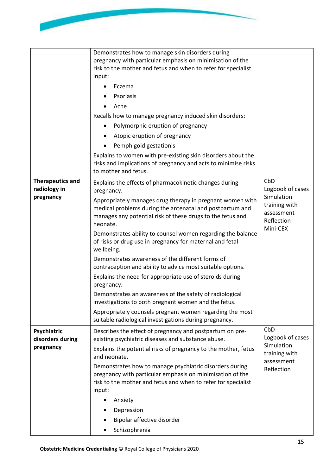

|                                         | Demonstrates how to manage skin disorders during<br>pregnancy with particular emphasis on minimisation of the<br>risk to the mother and fetus and when to refer for specialist<br>input:<br>Eczema<br>Psoriasis<br>Acne<br>Recalls how to manage pregnancy induced skin disorders:<br>Polymorphic eruption of pregnancy<br>Atopic eruption of pregnancy<br>Pemphigoid gestationis<br>Explains to women with pre-existing skin disorders about the<br>risks and implications of pregnancy and acts to minimise risks<br>to mother and fetus. |                                                                     |
|-----------------------------------------|---------------------------------------------------------------------------------------------------------------------------------------------------------------------------------------------------------------------------------------------------------------------------------------------------------------------------------------------------------------------------------------------------------------------------------------------------------------------------------------------------------------------------------------------|---------------------------------------------------------------------|
| <b>Therapeutics and</b><br>radiology in | Explains the effects of pharmacokinetic changes during                                                                                                                                                                                                                                                                                                                                                                                                                                                                                      | CbD<br>Logbook of cases                                             |
| pregnancy                               | pregnancy.<br>Appropriately manages drug therapy in pregnant women with<br>medical problems during the antenatal and postpartum and<br>manages any potential risk of these drugs to the fetus and<br>neonate.                                                                                                                                                                                                                                                                                                                               | Simulation<br>training with<br>assessment<br>Reflection<br>Mini-CEX |
|                                         | Demonstrates ability to counsel women regarding the balance<br>of risks or drug use in pregnancy for maternal and fetal<br>wellbeing.                                                                                                                                                                                                                                                                                                                                                                                                       |                                                                     |
|                                         | Demonstrates awareness of the different forms of<br>contraception and ability to advice most suitable options.                                                                                                                                                                                                                                                                                                                                                                                                                              |                                                                     |
|                                         | Explains the need for appropriate use of steroids during<br>pregnancy.                                                                                                                                                                                                                                                                                                                                                                                                                                                                      |                                                                     |
|                                         | Demonstrates an awareness of the safety of radiological<br>investigations to both pregnant women and the fetus.                                                                                                                                                                                                                                                                                                                                                                                                                             |                                                                     |
|                                         | Appropriately counsels pregnant women regarding the most<br>suitable radiological investigations during pregnancy.                                                                                                                                                                                                                                                                                                                                                                                                                          |                                                                     |
| Psychiatric                             | Describes the effect of pregnancy and postpartum on pre-                                                                                                                                                                                                                                                                                                                                                                                                                                                                                    | CbD                                                                 |
| disorders during<br>pregnancy           | existing psychiatric diseases and substance abuse.<br>Explains the potential risks of pregnancy to the mother, fetus                                                                                                                                                                                                                                                                                                                                                                                                                        | Logbook of cases<br>Simulation                                      |
|                                         | and neonate.                                                                                                                                                                                                                                                                                                                                                                                                                                                                                                                                | training with<br>assessment                                         |
|                                         | Demonstrates how to manage psychiatric disorders during<br>pregnancy with particular emphasis on minimisation of the<br>risk to the mother and fetus and when to refer for specialist<br>input:                                                                                                                                                                                                                                                                                                                                             | Reflection                                                          |
|                                         | Anxiety                                                                                                                                                                                                                                                                                                                                                                                                                                                                                                                                     |                                                                     |
|                                         | Depression                                                                                                                                                                                                                                                                                                                                                                                                                                                                                                                                  |                                                                     |
|                                         | Bipolar affective disorder                                                                                                                                                                                                                                                                                                                                                                                                                                                                                                                  |                                                                     |
|                                         | Schizophrenia                                                                                                                                                                                                                                                                                                                                                                                                                                                                                                                               |                                                                     |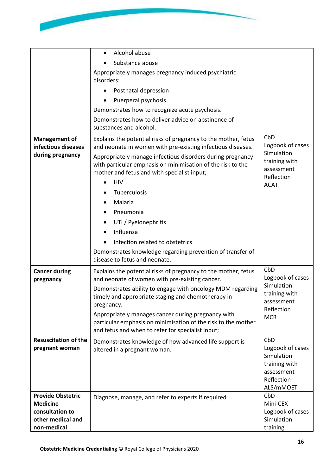

| Substance abuse<br>Appropriately manages pregnancy induced psychiatric<br>disorders:<br>Postnatal depression<br>Puerperal psychosis<br>Demonstrates how to recognize acute psychosis.<br>Demonstrates how to deliver advice on abstinence of<br>substances and alcohol.<br>CbD<br>Explains the potential risks of pregnancy to the mother, fetus<br><b>Management of</b><br>Logbook of cases<br>infectious diseases<br>and neonate in women with pre-existing infectious diseases.<br>Simulation<br>during pregnancy<br>Appropriately manage infectious disorders during pregnancy<br>training with<br>with particular emphasis on minimisation of the risk to the<br>assessment<br>mother and fetus and with specialist input;<br>Reflection<br><b>HIV</b><br><b>ACAT</b><br>Tuberculosis<br>Malaria<br>Pneumonia<br>UTI / Pyelonephritis<br>$\bullet$<br>Influenza<br>Infection related to obstetrics<br>Demonstrates knowledge regarding prevention of transfer of<br>disease to fetus and neonate.<br>CbD<br><b>Cancer during</b><br>Explains the potential risks of pregnancy to the mother, fetus<br>Logbook of cases<br>and neonate of women with pre-existing cancer.<br>pregnancy<br>Simulation<br>Demonstrates ability to engage with oncology MDM regarding<br>training with<br>timely and appropriate staging and chemotherapy in<br>assessment<br>pregnancy.<br>Reflection<br>Appropriately manages cancer during pregnancy with<br><b>MCR</b><br>particular emphasis on minimisation of the risk to the mother<br>and fetus and when to refer for specialist input;<br><b>Resuscitation of the</b><br>CbD<br>Demonstrates knowledge of how advanced life support is<br>Logbook of cases<br>pregnant woman<br>altered in a pregnant woman.<br>Simulation<br>training with<br>assessment<br>Reflection<br>ALS/mMOET<br><b>Provide Obstetric</b><br>CbD<br>Diagnose, manage, and refer to experts if required<br><b>Medicine</b><br>Mini-CEX<br>consultation to<br>Logbook of cases<br>other medical and<br>Simulation<br>non-medical<br>training | Alcohol abuse<br>$\bullet$ |  |
|--------------------------------------------------------------------------------------------------------------------------------------------------------------------------------------------------------------------------------------------------------------------------------------------------------------------------------------------------------------------------------------------------------------------------------------------------------------------------------------------------------------------------------------------------------------------------------------------------------------------------------------------------------------------------------------------------------------------------------------------------------------------------------------------------------------------------------------------------------------------------------------------------------------------------------------------------------------------------------------------------------------------------------------------------------------------------------------------------------------------------------------------------------------------------------------------------------------------------------------------------------------------------------------------------------------------------------------------------------------------------------------------------------------------------------------------------------------------------------------------------------------------------------------------------------------------------------------------------------------------------------------------------------------------------------------------------------------------------------------------------------------------------------------------------------------------------------------------------------------------------------------------------------------------------------------------------------------------------------------------------------------------------------------------------------------|----------------------------|--|
|                                                                                                                                                                                                                                                                                                                                                                                                                                                                                                                                                                                                                                                                                                                                                                                                                                                                                                                                                                                                                                                                                                                                                                                                                                                                                                                                                                                                                                                                                                                                                                                                                                                                                                                                                                                                                                                                                                                                                                                                                                                              |                            |  |
|                                                                                                                                                                                                                                                                                                                                                                                                                                                                                                                                                                                                                                                                                                                                                                                                                                                                                                                                                                                                                                                                                                                                                                                                                                                                                                                                                                                                                                                                                                                                                                                                                                                                                                                                                                                                                                                                                                                                                                                                                                                              |                            |  |
|                                                                                                                                                                                                                                                                                                                                                                                                                                                                                                                                                                                                                                                                                                                                                                                                                                                                                                                                                                                                                                                                                                                                                                                                                                                                                                                                                                                                                                                                                                                                                                                                                                                                                                                                                                                                                                                                                                                                                                                                                                                              |                            |  |
|                                                                                                                                                                                                                                                                                                                                                                                                                                                                                                                                                                                                                                                                                                                                                                                                                                                                                                                                                                                                                                                                                                                                                                                                                                                                                                                                                                                                                                                                                                                                                                                                                                                                                                                                                                                                                                                                                                                                                                                                                                                              |                            |  |
|                                                                                                                                                                                                                                                                                                                                                                                                                                                                                                                                                                                                                                                                                                                                                                                                                                                                                                                                                                                                                                                                                                                                                                                                                                                                                                                                                                                                                                                                                                                                                                                                                                                                                                                                                                                                                                                                                                                                                                                                                                                              |                            |  |
|                                                                                                                                                                                                                                                                                                                                                                                                                                                                                                                                                                                                                                                                                                                                                                                                                                                                                                                                                                                                                                                                                                                                                                                                                                                                                                                                                                                                                                                                                                                                                                                                                                                                                                                                                                                                                                                                                                                                                                                                                                                              |                            |  |
|                                                                                                                                                                                                                                                                                                                                                                                                                                                                                                                                                                                                                                                                                                                                                                                                                                                                                                                                                                                                                                                                                                                                                                                                                                                                                                                                                                                                                                                                                                                                                                                                                                                                                                                                                                                                                                                                                                                                                                                                                                                              |                            |  |
|                                                                                                                                                                                                                                                                                                                                                                                                                                                                                                                                                                                                                                                                                                                                                                                                                                                                                                                                                                                                                                                                                                                                                                                                                                                                                                                                                                                                                                                                                                                                                                                                                                                                                                                                                                                                                                                                                                                                                                                                                                                              |                            |  |
|                                                                                                                                                                                                                                                                                                                                                                                                                                                                                                                                                                                                                                                                                                                                                                                                                                                                                                                                                                                                                                                                                                                                                                                                                                                                                                                                                                                                                                                                                                                                                                                                                                                                                                                                                                                                                                                                                                                                                                                                                                                              |                            |  |
|                                                                                                                                                                                                                                                                                                                                                                                                                                                                                                                                                                                                                                                                                                                                                                                                                                                                                                                                                                                                                                                                                                                                                                                                                                                                                                                                                                                                                                                                                                                                                                                                                                                                                                                                                                                                                                                                                                                                                                                                                                                              |                            |  |
|                                                                                                                                                                                                                                                                                                                                                                                                                                                                                                                                                                                                                                                                                                                                                                                                                                                                                                                                                                                                                                                                                                                                                                                                                                                                                                                                                                                                                                                                                                                                                                                                                                                                                                                                                                                                                                                                                                                                                                                                                                                              |                            |  |
|                                                                                                                                                                                                                                                                                                                                                                                                                                                                                                                                                                                                                                                                                                                                                                                                                                                                                                                                                                                                                                                                                                                                                                                                                                                                                                                                                                                                                                                                                                                                                                                                                                                                                                                                                                                                                                                                                                                                                                                                                                                              |                            |  |
|                                                                                                                                                                                                                                                                                                                                                                                                                                                                                                                                                                                                                                                                                                                                                                                                                                                                                                                                                                                                                                                                                                                                                                                                                                                                                                                                                                                                                                                                                                                                                                                                                                                                                                                                                                                                                                                                                                                                                                                                                                                              |                            |  |
|                                                                                                                                                                                                                                                                                                                                                                                                                                                                                                                                                                                                                                                                                                                                                                                                                                                                                                                                                                                                                                                                                                                                                                                                                                                                                                                                                                                                                                                                                                                                                                                                                                                                                                                                                                                                                                                                                                                                                                                                                                                              |                            |  |
|                                                                                                                                                                                                                                                                                                                                                                                                                                                                                                                                                                                                                                                                                                                                                                                                                                                                                                                                                                                                                                                                                                                                                                                                                                                                                                                                                                                                                                                                                                                                                                                                                                                                                                                                                                                                                                                                                                                                                                                                                                                              |                            |  |
|                                                                                                                                                                                                                                                                                                                                                                                                                                                                                                                                                                                                                                                                                                                                                                                                                                                                                                                                                                                                                                                                                                                                                                                                                                                                                                                                                                                                                                                                                                                                                                                                                                                                                                                                                                                                                                                                                                                                                                                                                                                              |                            |  |
|                                                                                                                                                                                                                                                                                                                                                                                                                                                                                                                                                                                                                                                                                                                                                                                                                                                                                                                                                                                                                                                                                                                                                                                                                                                                                                                                                                                                                                                                                                                                                                                                                                                                                                                                                                                                                                                                                                                                                                                                                                                              |                            |  |
|                                                                                                                                                                                                                                                                                                                                                                                                                                                                                                                                                                                                                                                                                                                                                                                                                                                                                                                                                                                                                                                                                                                                                                                                                                                                                                                                                                                                                                                                                                                                                                                                                                                                                                                                                                                                                                                                                                                                                                                                                                                              |                            |  |
|                                                                                                                                                                                                                                                                                                                                                                                                                                                                                                                                                                                                                                                                                                                                                                                                                                                                                                                                                                                                                                                                                                                                                                                                                                                                                                                                                                                                                                                                                                                                                                                                                                                                                                                                                                                                                                                                                                                                                                                                                                                              |                            |  |
|                                                                                                                                                                                                                                                                                                                                                                                                                                                                                                                                                                                                                                                                                                                                                                                                                                                                                                                                                                                                                                                                                                                                                                                                                                                                                                                                                                                                                                                                                                                                                                                                                                                                                                                                                                                                                                                                                                                                                                                                                                                              |                            |  |
|                                                                                                                                                                                                                                                                                                                                                                                                                                                                                                                                                                                                                                                                                                                                                                                                                                                                                                                                                                                                                                                                                                                                                                                                                                                                                                                                                                                                                                                                                                                                                                                                                                                                                                                                                                                                                                                                                                                                                                                                                                                              |                            |  |
|                                                                                                                                                                                                                                                                                                                                                                                                                                                                                                                                                                                                                                                                                                                                                                                                                                                                                                                                                                                                                                                                                                                                                                                                                                                                                                                                                                                                                                                                                                                                                                                                                                                                                                                                                                                                                                                                                                                                                                                                                                                              |                            |  |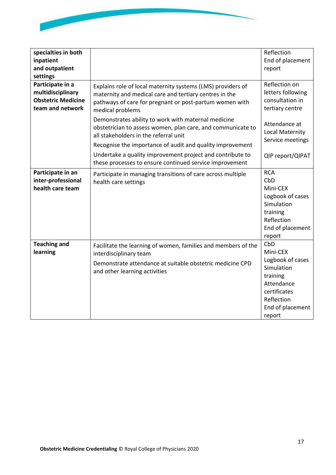

| specialties in both<br>inpatient<br>and outpatient<br>settings                         |                                                                                                                                                                                                                                                                                                                                                                                                                                  | Reflection<br>End of placement<br>report                                                                                                |
|----------------------------------------------------------------------------------------|----------------------------------------------------------------------------------------------------------------------------------------------------------------------------------------------------------------------------------------------------------------------------------------------------------------------------------------------------------------------------------------------------------------------------------|-----------------------------------------------------------------------------------------------------------------------------------------|
| Participate in a<br>multidisciplinary<br><b>Obstetric Medicine</b><br>team and network | Explains role of local maternity systems (LMS) providers of<br>maternity and medical care and tertiary centres in the<br>pathways of care for pregnant or post-partum women with<br>medical problems<br>Demonstrates ability to work with maternal medicine<br>obstetrician to assess women, plan care, and communicate to<br>all stakeholders in the referral unit<br>Recognise the importance of audit and quality improvement | Reflection on<br>letters following<br>consultation in<br>tertiary centre<br>Attendance at<br>Local Maternity<br>Service meetings        |
|                                                                                        | Undertake a quality improvement project and contribute to<br>these processes to ensure continued service improvement                                                                                                                                                                                                                                                                                                             | QIP report/QIPAT                                                                                                                        |
| Participate in an<br>inter-professional<br>health care team                            | Participate in managing transitions of care across multiple<br>health care settings                                                                                                                                                                                                                                                                                                                                              | <b>RCA</b><br>CbD<br>Mini-CEX<br>Logbook of cases<br>Simulation<br>training<br>Reflection<br>End of placement<br>report                 |
| <b>Teaching and</b><br>learning                                                        | Facilitate the learning of women, families and members of the<br>interdisciplinary team<br>Demonstrate attendance at suitable obstetric medicine CPD<br>and other learning activities                                                                                                                                                                                                                                            | CbD<br>Mini-CEX<br>Logbook of cases<br>Simulation<br>training<br>Attendance<br>certificates<br>Reflection<br>End of placement<br>report |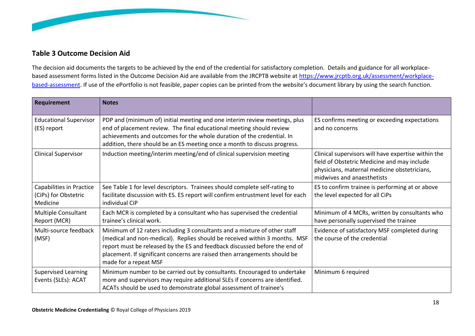

## **Table 3 Outcome Decision Aid**

The decision aid documents the targets to be achieved by the end of the credential for satisfactory completion. Details and guidance for all workplacebased assessment forms listed in the Outcome Decision Aid are available from the JRCPTB website at [https://www.jrcptb.org.uk/assessment/workplace](https://www.jrcptb.org.uk/assessment/workplace-based-assessment)[based-assessment.](https://www.jrcptb.org.uk/assessment/workplace-based-assessment) If use of the ePortfolio is not feasible, paper copies can be printed from the website's document library by using the search function.

<span id="page-17-0"></span>

| Requirement                                                  | <b>Notes</b>                                                                                                                                                                                                                                                                                                                                |                                                                                                                                                                                  |
|--------------------------------------------------------------|---------------------------------------------------------------------------------------------------------------------------------------------------------------------------------------------------------------------------------------------------------------------------------------------------------------------------------------------|----------------------------------------------------------------------------------------------------------------------------------------------------------------------------------|
| <b>Educational Supervisor</b><br>(ES) report                 | PDP and (minimum of) initial meeting and one interim review meetings, plus<br>end of placement review. The final educational meeting should review<br>achievements and outcomes for the whole duration of the credential. In<br>addition, there should be an ES meeting once a month to discuss progress.                                   | ES confirms meeting or exceeding expectations<br>and no concerns                                                                                                                 |
| <b>Clinical Supervisor</b>                                   | Induction meeting/interim meeting/end of clinical supervision meeting                                                                                                                                                                                                                                                                       | Clinical supervisors will have expertise within the<br>field of Obstetric Medicine and may include<br>physicians, maternal medicine obstetricians,<br>midwives and anaesthetists |
| Capabilities in Practice<br>(CiPs) for Obstetric<br>Medicine | See Table 1 for level descriptors. Trainees should complete self-rating to<br>facilitate discussion with ES. ES report will confirm entrustment level for each<br>individual CiP                                                                                                                                                            | ES to confirm trainee is performing at or above<br>the level expected for all CiPs                                                                                               |
| Multiple Consultant<br>Report (MCR)                          | Each MCR is completed by a consultant who has supervised the credential<br>trainee's clinical work.                                                                                                                                                                                                                                         | Minimum of 4 MCRs, written by consultants who<br>have personally supervised the trainee                                                                                          |
| Multi-source feedback<br>(MSF)                               | Minimum of 12 raters including 3 consultants and a mixture of other staff<br>(medical and non-medical). Replies should be received within 3 months. MSF<br>report must be released by the ES and feedback discussed before the end of<br>placement. If significant concerns are raised then arrangements should be<br>made for a repeat MSF | Evidence of satisfactory MSF completed during<br>the course of the credential                                                                                                    |
| <b>Supervised Learning</b><br>Events (SLEs): ACAT            | Minimum number to be carried out by consultants. Encouraged to undertake<br>more and supervisors may require additional SLEs if concerns are identified.<br>ACATs should be used to demonstrate global assessment of trainee's                                                                                                              | Minimum 6 required                                                                                                                                                               |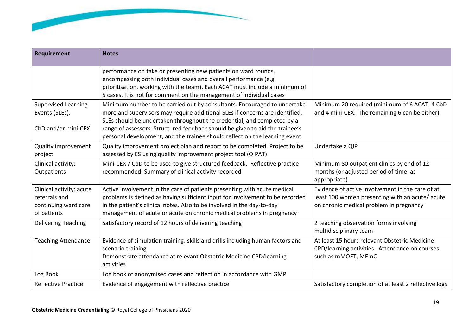

| <b>Requirement</b>                                                               | <b>Notes</b>                                                                                                                                                                                                                                                                                                                                                                                       |                                                                                                                                               |
|----------------------------------------------------------------------------------|----------------------------------------------------------------------------------------------------------------------------------------------------------------------------------------------------------------------------------------------------------------------------------------------------------------------------------------------------------------------------------------------------|-----------------------------------------------------------------------------------------------------------------------------------------------|
|                                                                                  | performance on take or presenting new patients on ward rounds,<br>encompassing both individual cases and overall performance (e.g.<br>prioritisation, working with the team). Each ACAT must include a minimum of<br>5 cases. It is not for comment on the management of individual cases                                                                                                          |                                                                                                                                               |
| <b>Supervised Learning</b><br>Events (SLEs):<br>CbD and/or mini-CEX              | Minimum number to be carried out by consultants. Encouraged to undertake<br>more and supervisors may require additional SLEs if concerns are identified.<br>SLEs should be undertaken throughout the credential, and completed by a<br>range of assessors. Structured feedback should be given to aid the trainee's<br>personal development, and the trainee should reflect on the learning event. | Minimum 20 required (minimum of 6 ACAT, 4 CbD<br>and 4 mini-CEX. The remaining 6 can be either)                                               |
| <b>Quality improvement</b><br>project                                            | Quality improvement project plan and report to be completed. Project to be<br>assessed by ES using quality improvement project tool (QIPAT)                                                                                                                                                                                                                                                        | Undertake a QIP                                                                                                                               |
| Clinical activity:<br>Outpatients                                                | Mini-CEX / CbD to be used to give structured feedback. Reflective practice<br>recommended. Summary of clinical activity recorded                                                                                                                                                                                                                                                                   | Minimum 80 outpatient clinics by end of 12<br>months (or adjusted period of time, as<br>appropriate)                                          |
| Clinical activity: acute<br>referrals and<br>continuing ward care<br>of patients | Active involvement in the care of patients presenting with acute medical<br>problems is defined as having sufficient input for involvement to be recorded<br>in the patient's clinical notes. Also to be involved in the day-to-day<br>management of acute or acute on chronic medical problems in pregnancy                                                                                       | Evidence of active involvement in the care of at<br>least 100 women presenting with an acute/acute<br>on chronic medical problem in pregnancy |
| <b>Delivering Teaching</b>                                                       | Satisfactory record of 12 hours of delivering teaching                                                                                                                                                                                                                                                                                                                                             | 2 teaching observation forms involving<br>multidisciplinary team                                                                              |
| <b>Teaching Attendance</b>                                                       | Evidence of simulation training: skills and drills including human factors and<br>scenario training<br>Demonstrate attendance at relevant Obstetric Medicine CPD/learning<br>activities                                                                                                                                                                                                            | At least 15 hours relevant Obstetric Medicine<br>CPD/learning activities. Attendance on courses<br>such as mMOET, MEmO                        |
| Log Book                                                                         | Log book of anonymised cases and reflection in accordance with GMP                                                                                                                                                                                                                                                                                                                                 |                                                                                                                                               |
| <b>Reflective Practice</b>                                                       | Evidence of engagement with reflective practice                                                                                                                                                                                                                                                                                                                                                    | Satisfactory completion of at least 2 reflective logs                                                                                         |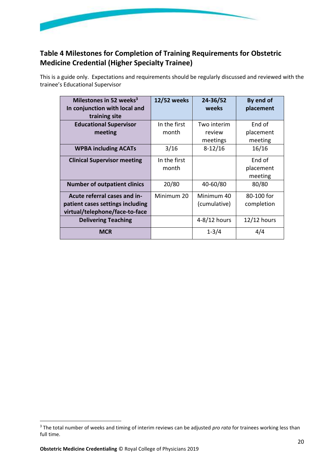

## <span id="page-19-0"></span>**Table 4 Milestones for Completion of Training Requirements for Obstetric Medicine Credential (Higher Specialty Trainee)**

This is a guide only. Expectations and requirements should be regularly discussed and reviewed with the trainee's Educational Supervisor

| Milestones in 52 weeks $3$<br>In conjunction with local and<br>training site                       | 12/52 weeks           | 24-36/52<br>weeks          | By end of<br>placement         |
|----------------------------------------------------------------------------------------------------|-----------------------|----------------------------|--------------------------------|
| <b>Educational Supervisor</b><br>meeting                                                           | In the first<br>month | Two interim<br>review      | End of<br>placement            |
|                                                                                                    |                       | meetings                   | meeting                        |
| <b>WPBA including ACATs</b>                                                                        | 3/16                  | $8-12/16$                  | 16/16                          |
| <b>Clinical Supervisor meeting</b>                                                                 | In the first<br>month |                            | End of<br>placement<br>meeting |
| <b>Number of outpatient clinics</b>                                                                | 20/80                 | 40-60/80                   | 80/80                          |
| Acute referral cases and in-<br>patient cases settings including<br>virtual/telephone/face-to-face | Minimum 20            | Minimum 40<br>(cumulative) | 80-100 for<br>completion       |
| <b>Delivering Teaching</b>                                                                         |                       | 4-8/12 hours               | $12/12$ hours                  |
| <b>MCR</b>                                                                                         |                       | $1 - 3/4$                  | 4/4                            |

<sup>&</sup>lt;sup>3</sup> The total number of weeks and timing of interim reviews can be adjusted *pro rata* for trainees working less than full time.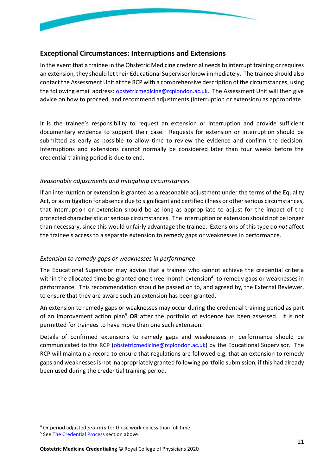

### <span id="page-20-0"></span>**Exceptional Circumstances: Interruptions and Extensions**

In the event that a trainee in the Obstetric Medicine credential needs to interrupt training or requires an extension, they should let their Educational Supervisor know immediately. The trainee should also contact the Assessment Unit at the RCP with a comprehensive description of the circumstances, using the following email address: [obstetricmedicine@rcplondon.ac.uk](mailto:obstetricmedicine@rcplondon.ac.uk). The Assessment Unit will then give advice on how to proceed, and recommend adjustments (interruption or extension) as appropriate.

It is the trainee's responsibility to request an extension or interruption and provide sufficient documentary evidence to support their case. Requests for extension or interruption should be submitted as early as possible to allow time to review the evidence and confirm the decision. Interruptions and extensions cannot normally be considered later than four weeks before the credential training period is due to end.

#### <span id="page-20-1"></span>*Reasonable adjustments and mitigating circumstances*

If an interruption or extension is granted as a reasonable adjustment under the terms of the Equality Act, or as mitigation for absence due to significant and certified illness or other serious circumstances, that interruption or extension should be as long as appropriate to adjust for the impact of the protected characteristic or serious circumstances. The interruption or extension should not be longer than necessary, since this would unfairly advantage the trainee. Extensions of this type do *not* affect the trainee's access to a separate extension to remedy gaps or weaknesses in performance.

#### <span id="page-20-2"></span>*Extension to remedy gaps or weaknesses in performance*

The Educational Supervisor may advise that a trainee who cannot achieve the credential criteria within the allocated time be granted **one** three-month extension<sup>4</sup> to remedy gaps or weaknesses in performance. This recommendation should be passed on to, and agreed by, the External Reviewer, to ensure that they are aware such an extension has been granted.

An extension to remedy gaps or weaknesses may occur during the credential training period as part of an improvement action plan<sup>5</sup> **OR** after the portfolio of evidence has been assessed. It is not permitted for trainees to have more than one such extension.

Details of confirmed extensions to remedy gaps and weaknesses in performance should be communicated to the RCP ([obstetricmedicine@rcplondon.ac.uk](mailto:obstetricmedicine@rcplondon.ac.uk)) by the Educational Supervisor. The RCP will maintain a record to ensure that regulations are followed e.g. that an extension to remedy gaps and weaknesses is not inappropriately granted following portfolio submission, if this had already been used during the credential training period.

<sup>4</sup> Or period adjusted *pro-rata* for those working less than full time.

<sup>&</sup>lt;sup>5</sup> See **The Credential Process** section above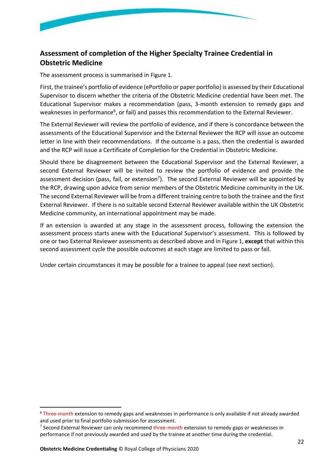

## <span id="page-21-0"></span>**Assessment of completion of the Higher Specialty Trainee Credential in Obstetric Medicine**

The assessment process is summarised in [Figure 1](#page-22-0).

First, the trainee's portfolio of evidence (ePortfolio or paper portfolio) is assessed by their Educational Supervisor to discern whether the criteria of the Obstetric Medicine credential have been met. The Educational Supervisor makes a recommendation (pass, 3-month extension to remedy gaps and weaknesses in performance<sup>6</sup>, or fail) and passes this recommendation to the External Reviewer.

The External Reviewer will review the portfolio of evidence, and if there is concordance between the assessments of the Educational Supervisor and the External Reviewer the RCP will issue an outcome letter in line with their recommendations. If the outcome is a pass, then the credential is awarded and the RCP will issue a Certificate of Completion for the Credential in Obstetric Medicine.

Should there be disagreement between the Educational Supervisor and the External Reviewer, a second External Reviewer will be invited to review the portfolio of evidence and provide the assessment decision (pass, fail, or extension<sup>7</sup>). The second External Reviewer will be appointed by the RCP, drawing upon advice from senior members of the Obstetric Medicine community in the UK. The second External Reviewer will be from a different training centre to both the trainee and the first External Reviewer. If there is no suitable second External Reviewer available within the UK Obstetric Medicine community, an international appointment may be made.

If an extension is awarded at any stage in the assessment process, following the extension the assessment process starts anew with the Educational Supervisor's assessment. This is followed by one or two External Reviewer assessments as described above and in [Figure 1](#page-22-0), **except** that within this second assessment cycle the possible outcomes at each stage are limited to pass or fail.

Under certain circumstances it may be possible for a trainee to appeal (see next section).

<sup>&</sup>lt;sup>6</sup> Three-month extension to remedy gaps and weaknesses in performance is only available if not already awarded and used prior to final portfolio submission for assessment.

<sup>&</sup>lt;sup>7</sup> Second External Reviewer can only recommend three-month extension to remedy gaps or weaknesses in performance if not previously awarded and used by the trainee at another time during the credential.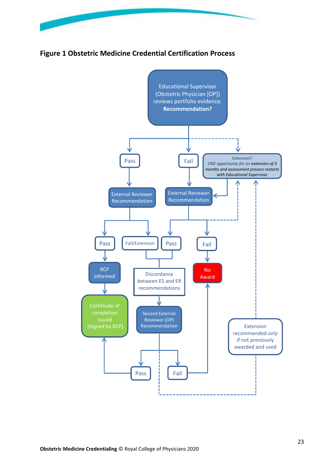

**Figure 1 Obstetric Medicine Credential Certification Process** 

<span id="page-22-0"></span>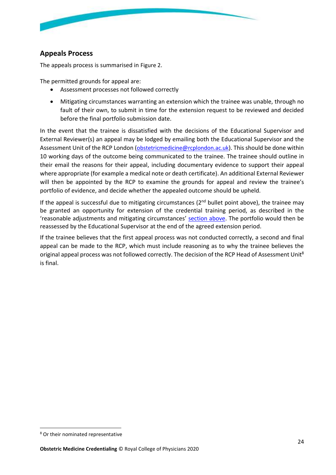

## <span id="page-23-0"></span>**Appeals Process**

The appeals process is summarised in [Figure 2](#page-24-0).

The permitted grounds for appeal are:

- Assessment processes not followed correctly
- Mitigating circumstances warranting an extension which the trainee was unable, through no fault of their own, to submit in time for the extension request to be reviewed and decided before the final portfolio submission date.

In the event that the trainee is dissatisfied with the decisions of the Educational Supervisor and External Reviewer(s) an appeal may be lodged by emailing both the Educational Supervisor and the Assessment Unit of the RCP London ([obstetricmedicine@rcplondon.ac.uk](mailto:obstetricmedicine@rcplondon.ac.uk)). This should be done within 10 working days of the outcome being communicated to the trainee. The trainee should outline in their email the reasons for their appeal, including documentary evidence to support their appeal where appropriate (for example a medical note or death certificate). An additional External Reviewer will then be appointed by the RCP to examine the grounds for appeal and review the trainee's portfolio of evidence, and decide whether the appealed outcome should be upheld.

If the appeal is successful due to mitigating circumstances  $(2^{nd}$  bullet point above), the trainee may be granted an opportunity for extension of the credential training period, as described in the 'reasonable adjustments and mitigating circumstances' [section above.](#page-20-1) The portfolio would then be reassessed by the Educational Supervisor at the end of the agreed extension period.

If the trainee believes that the first appeal process was not conducted correctly, a second and final appeal can be made to the RCP, which must include reasoning as to why the trainee believes the original appeal process was not followed correctly. The decision of the RCP Head of Assessment Unit<sup>8</sup> is final.

<sup>8</sup> Or their nominated representative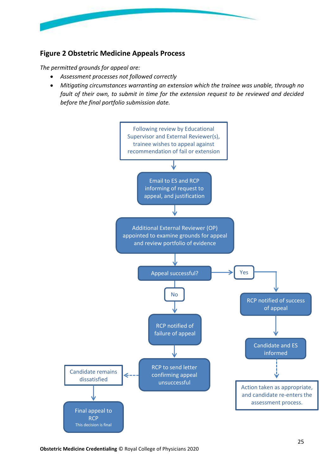

## <span id="page-24-0"></span>**Figure 2 Obstetric Medicine Appeals Process**

*The permitted grounds for appeal are:*

- *Assessment processes not followed correctly*
- *Mitigating circumstances warranting an extension which the trainee was unable, through no fault of their own, to submit in time for the extension request to be reviewed and decided before the final portfolio submission date.*

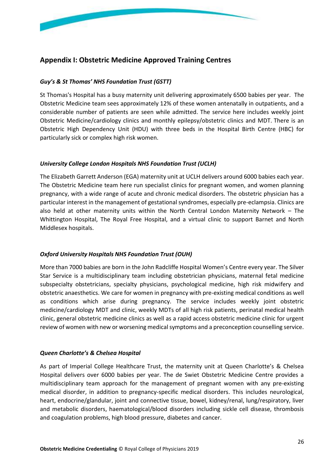

### <span id="page-25-0"></span>**Appendix I: Obstetric Medicine Approved Training Centres**

#### *Guy's & St Thomas' NHS Foundation Trust (GSTT)*

St Thomas's Hospital has a busy maternity unit delivering approximately 6500 babies per year. The Obstetric Medicine team sees approximately 12% of these women antenatally in outpatients, and a considerable number of patients are seen while admitted. The service here includes weekly joint Obstetric Medicine/cardiology clinics and monthly epilepsy/obstetric clinics and MDT. There is an Obstetric High Dependency Unit (HDU) with three beds in the Hospital Birth Centre (HBC) for particularly sick or complex high risk women.

#### *University College London Hospitals NHS Foundation Trust (UCLH)*

The Elizabeth Garrett Anderson (EGA) maternity unit at UCLH delivers around 6000 babies each year. The Obstetric Medicine team here run specialist clinics for pregnant women, and women planning pregnancy, with a wide range of acute and chronic medical disorders. The obstetric physician has a particular interest in the management of gestational syndromes, especially pre-eclampsia. Clinics are also held at other maternity units within the North Central London Maternity Network – The Whittington Hospital, The Royal Free Hospital, and a virtual clinic to support Barnet and North Middlesex hospitals.

#### *Oxford University Hospitals NHS Foundation Trust (OUH)*

More than 7000 babies are born in the John Radcliffe Hospital Women's Centre every year. The Silver Star Service is a multidisciplinary team including obstetrician physicians, maternal fetal medicine subspecialty obstetricians, specialty physicians, psychological medicine, high risk midwifery and obstetric anaesthetics. We care for women in pregnancy with pre-existing medical conditions as well as conditions which arise during pregnancy. The service includes weekly joint obstetric medicine/cardiology MDT and clinic, weekly MDTs of all high risk patients, perinatal medical health clinic, general obstetric medicine clinics as well as a rapid access obstetric medicine clinic for urgent review of women with new or worsening medical symptoms and a preconception counselling service.

#### *Queen Charlotte's & Chelsea Hospital*

As part of Imperial College Healthcare Trust, the maternity unit at Queen Charlotte's & Chelsea Hospital delivers over 6000 babies per year. The de Swiet Obstetric Medicine Centre provides a multidisciplinary team approach for the management of pregnant women with any pre-existing medical disorder, in addition to pregnancy-specific medical disorders. This includes neurological, heart, endocrine/glandular, joint and connective tissue, bowel, kidney/renal, lung/respiratory, liver and metabolic disorders, haematological/blood disorders including sickle cell disease, thrombosis and coagulation problems, high blood pressure, diabetes and cancer.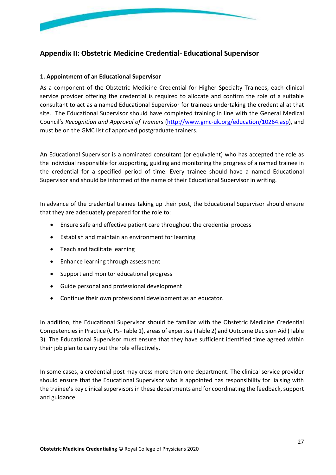

## <span id="page-26-0"></span>**Appendix II: Obstetric Medicine Credential- Educational Supervisor**

#### **1. Appointment of an Educational Supervisor**

As a component of the Obstetric Medicine Credential for Higher Specialty Trainees, each clinical service provider offering the credential is required to allocate and confirm the role of a suitable consultant to act as a named Educational Supervisor for trainees undertaking the credential at that site. The Educational Supervisor should have completed training in line with the General Medical Council's *Recognition and Approval of Trainers* [\(http://www.gmc-uk.org/education/10264.asp\)](http://www.gmc-uk.org/education/10264.asp), and must be on the GMC list of approved postgraduate trainers.

An Educational Supervisor is a nominated consultant (or equivalent) who has accepted the role as the individual responsible for supporting, guiding and monitoring the progress of a named trainee in the credential for a specified period of time. Every trainee should have a named Educational Supervisor and should be informed of the name of their Educational Supervisor in writing.

In advance of the credential trainee taking up their post, the Educational Supervisor should ensure that they are adequately prepared for the role to:

- Ensure safe and effective patient care throughout the credential process
- Establish and maintain an environment for learning
- Teach and facilitate learning
- Enhance learning through assessment
- Support and monitor educational progress
- Guide personal and professional development
- Continue their own professional development as an educator.

In addition, the Educational Supervisor should be familiar with the Obstetric Medicine Credential Competencies in Practice (CiPs- [Table 1\)](#page-6-0), areas of expertise [\(Table 2\)](#page-7-0) and Outcome Decision Aid [\(Table](#page-17-0)  [3\)](#page-17-0). The Educational Supervisor must ensure that they have sufficient identified time agreed within their job plan to carry out the role effectively.

In some cases, a credential post may cross more than one department. The clinical service provider should ensure that the Educational Supervisor who is appointed has responsibility for liaising with the trainee's key clinical supervisors in these departments and for coordinating the feedback, support and guidance.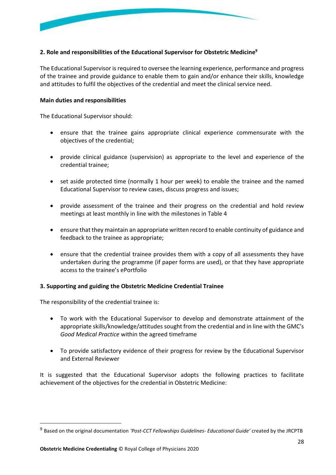

#### **2. Role and responsibilities of the Educational Supervisor for Obstetric Medicine<sup>9</sup>**

The Educational Supervisor is required to oversee the learning experience, performance and progress of the trainee and provide guidance to enable them to gain and/or enhance their skills, knowledge and attitudes to fulfil the objectives of the credential and meet the clinical service need.

#### **Main duties and responsibilities**

The Educational Supervisor should:

- ensure that the trainee gains appropriate clinical experience commensurate with the objectives of the credential;
- provide clinical guidance (supervision) as appropriate to the level and experience of the credential trainee;
- set aside protected time (normally 1 hour per week) to enable the trainee and the named Educational Supervisor to review cases, discuss progress and issues;
- provide assessment of the trainee and their progress on the credential and hold review meetings at least monthly in line with the milestones in [Table 4](#page-19-0)
- ensure that they maintain an appropriate written record to enable continuity of guidance and feedback to the trainee as appropriate;
- ensure that the credential trainee provides them with a copy of all assessments they have undertaken during the programme (if paper forms are used), or that they have appropriate access to the trainee's ePortfolio

#### **3. Supporting and guiding the Obstetric Medicine Credential Trainee**

The responsibility of the credential trainee is:

- To work with the Educational Supervisor to develop and demonstrate attainment of the appropriate skills/knowledge/attitudes sought from the credential and in line with the GMC's *Good Medical Practice* within the agreed timeframe
- To provide satisfactory evidence of their progress for review by the Educational Supervisor and External Reviewer

It is suggested that the Educational Supervisor adopts the following practices to facilitate achievement of the objectives for the credential in Obstetric Medicine:

<sup>9</sup> Based on the original documentation *'Post-CCT Fellowships Guidelines- Educational Guide'* created by the JRCPTB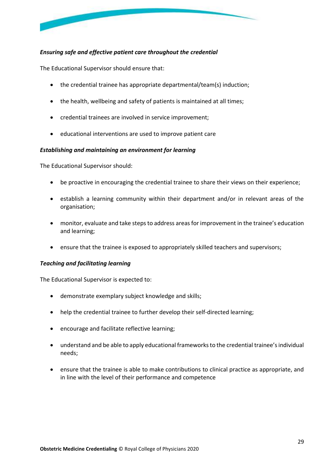

#### *Ensuring safe and effective patient care throughout the credential*

The Educational Supervisor should ensure that:

- the credential trainee has appropriate departmental/team(s) induction;
- the health, wellbeing and safety of patients is maintained at all times;
- credential trainees are involved in service improvement;
- educational interventions are used to improve patient care

#### *Establishing and maintaining an environment for learning*

The Educational Supervisor should:

- be proactive in encouraging the credential trainee to share their views on their experience;
- establish a learning community within their department and/or in relevant areas of the organisation;
- monitor, evaluate and take steps to address areas for improvement in the trainee's education and learning;
- ensure that the trainee is exposed to appropriately skilled teachers and supervisors;

#### *Teaching and facilitating learning*

The Educational Supervisor is expected to:

- demonstrate exemplary subject knowledge and skills;
- help the credential trainee to further develop their self-directed learning;
- encourage and facilitate reflective learning;
- understand and be able to apply educational frameworks to the credential trainee's individual needs;
- ensure that the trainee is able to make contributions to clinical practice as appropriate, and in line with the level of their performance and competence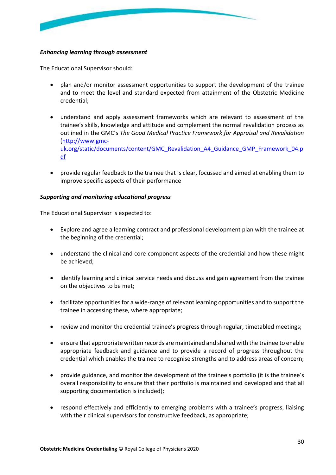

#### *Enhancing learning through assessment*

The Educational Supervisor should:

- plan and/or monitor assessment opportunities to support the development of the trainee and to meet the level and standard expected from attainment of the Obstetric Medicine credential;
- understand and apply assessment frameworks which are relevant to assessment of the trainee's skills, knowledge and attitude and complement the normal revalidation process as outlined in the GMC's *The Good Medical Practice Framework for Appraisal and Revalidation* [\(http://www.gmc](http://www.gmc-uk.org/static/documents/content/GMC_Revalidation_A4_Guidance_GMP_Framework_04.pdf)[uk.org/static/documents/content/GMC\\_Revalidation\\_A4\\_Guidance\\_GMP\\_Framework\\_04.p](http://www.gmc-uk.org/static/documents/content/GMC_Revalidation_A4_Guidance_GMP_Framework_04.pdf) [df](http://www.gmc-uk.org/static/documents/content/GMC_Revalidation_A4_Guidance_GMP_Framework_04.pdf)
- provide regular feedback to the trainee that is clear, focussed and aimed at enabling them to improve specific aspects of their performance

#### *Supporting and monitoring educational progress*

The Educational Supervisor is expected to:

- Explore and agree a learning contract and professional development plan with the trainee at the beginning of the credential;
- understand the clinical and core component aspects of the credential and how these might be achieved;
- identify learning and clinical service needs and discuss and gain agreement from the trainee on the objectives to be met;
- facilitate opportunities for a wide-range of relevant learning opportunities and to support the trainee in accessing these, where appropriate;
- review and monitor the credential trainee's progress through regular, timetabled meetings;
- ensure that appropriate written records are maintained and shared with the trainee to enable appropriate feedback and guidance and to provide a record of progress throughout the credential which enables the trainee to recognise strengths and to address areas of concern;
- provide guidance, and monitor the development of the trainee's portfolio (it is the trainee's overall responsibility to ensure that their portfolio is maintained and developed and that all supporting documentation is included);
- respond effectively and efficiently to emerging problems with a trainee's progress, liaising with their clinical supervisors for constructive feedback, as appropriate;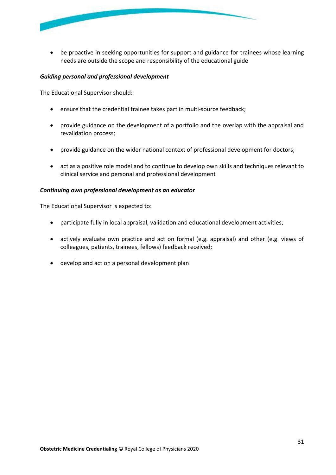

• be proactive in seeking opportunities for support and guidance for trainees whose learning needs are outside the scope and responsibility of the educational guide

#### *Guiding personal and professional development*

The Educational Supervisor should:

- ensure that the credential trainee takes part in multi-source feedback;
- provide guidance on the development of a portfolio and the overlap with the appraisal and revalidation process;
- provide guidance on the wider national context of professional development for doctors;
- act as a positive role model and to continue to develop own skills and techniques relevant to clinical service and personal and professional development

#### *Continuing own professional development as an educator*

The Educational Supervisor is expected to:

- participate fully in local appraisal, validation and educational development activities;
- actively evaluate own practice and act on formal (e.g. appraisal) and other (e.g. views of colleagues, patients, trainees, fellows) feedback received;
- <span id="page-30-0"></span>• develop and act on a personal development plan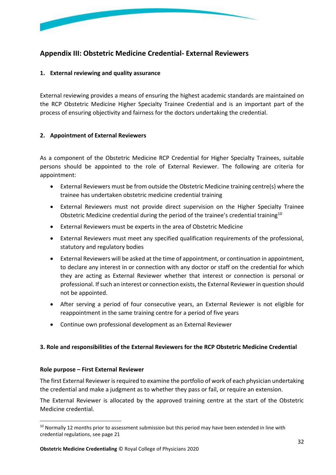

## <span id="page-31-0"></span>**Appendix III: Obstetric Medicine Credential- External Reviewers**

#### **1. External reviewing and quality assurance**

External reviewing provides a means of ensuring the highest academic standards are maintained on the RCP Obstetric Medicine Higher Specialty Trainee Credential and is an important part of the process of ensuring objectivity and fairness for the doctors undertaking the credential.

#### **2. Appointment of External Reviewers**

As a component of the Obstetric Medicine RCP Credential for Higher Specialty Trainees, suitable persons should be appointed to the role of External Reviewer. The following are criteria for appointment:

- External Reviewers must be from outside the Obstetric Medicine training centre(s) where the trainee has undertaken obstetric medicine credential training
- External Reviewers must not provide direct supervision on the Higher Specialty Trainee Obstetric Medicine credential during the period of the trainee's credential training<sup>10</sup>
- External Reviewers must be experts in the area of Obstetric Medicine
- External Reviewers must meet any specified qualification requirements of the professional, statutory and regulatory bodies
- External Reviewers will be asked at the time of appointment, or continuation in appointment, to declare any interest in or connection with any doctor or staff on the credential for which they are acting as External Reviewer whether that interest or connection is personal or professional. If such an interest or connection exists, the External Reviewer in question should not be appointed.
- After serving a period of four consecutive years, an External Reviewer is not eligible for reappointment in the same training centre for a period of five years
- Continue own professional development as an External Reviewer

#### **3. Role and responsibilities of the External Reviewers for the RCP Obstetric Medicine Credential**

#### **Role purpose – First External Reviewer**

The first External Reviewer is required to examine the portfolio of work of each physician undertaking the credential and make a judgment as to whether they pass or fail, or require an extension.

The External Reviewer is allocated by the approved training centre at the start of the Obstetric Medicine credential.

 $10$  Normally 12 months prior to assessment submission but this period may have been extended in line with credential regulations, see pag[e 21](#page-20-0)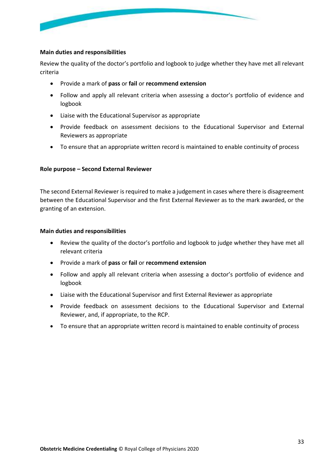

#### **Main duties and responsibilities**

Review the quality of the doctor's portfolio and logbook to judge whether they have met all relevant criteria

- Provide a mark of **pass** or **fail** or **recommend extension**
- Follow and apply all relevant criteria when assessing a doctor's portfolio of evidence and logbook
- Liaise with the Educational Supervisor as appropriate
- Provide feedback on assessment decisions to the Educational Supervisor and External Reviewers as appropriate
- To ensure that an appropriate written record is maintained to enable continuity of process

#### **Role purpose – Second External Reviewer**

The second External Reviewer is required to make a judgement in cases where there is disagreement between the Educational Supervisor and the first External Reviewer as to the mark awarded, or the granting of an extension.

#### **Main duties and responsibilities**

- Review the quality of the doctor's portfolio and logbook to judge whether they have met all relevant criteria
- Provide a mark of **pass** or **fail** or **recommend extension**
- Follow and apply all relevant criteria when assessing a doctor's portfolio of evidence and logbook
- Liaise with the Educational Supervisor and first External Reviewer as appropriate
- Provide feedback on assessment decisions to the Educational Supervisor and External Reviewer, and, if appropriate, to the RCP.
- To ensure that an appropriate written record is maintained to enable continuity of process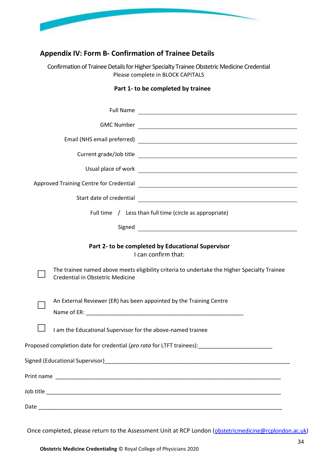

## **Appendix IV: Form B- Confirmation of Trainee Details**

<span id="page-33-0"></span>Confirmation of Trainee Details for Higher Specialty Trainee Obstetric Medicine Credential Please complete in BLOCK CAPITALS

#### **Part 1- to be completed by trainee**

| Full Name                                                                                                                                                                                                                            |
|--------------------------------------------------------------------------------------------------------------------------------------------------------------------------------------------------------------------------------------|
|                                                                                                                                                                                                                                      |
|                                                                                                                                                                                                                                      |
|                                                                                                                                                                                                                                      |
| Usual place of work <u>example and the set of the set of the set of the set of the set of the set of the set of the set of the set of the set of the set of the set of the set of the set of the set of the set of the set of th</u> |
|                                                                                                                                                                                                                                      |
| Start date of credential<br><u> 1989 - Andrea State Barbara, amerikan personal di sebagai personal di sebagai personal di sebagai personal di</u>                                                                                    |
| Full time / Less than full time (circle as appropriate)                                                                                                                                                                              |
|                                                                                                                                                                                                                                      |
| Part 2- to be completed by Educational Supervisor<br>I can confirm that:<br>The trainee named above meets eligibility criteria to undertake the Higher Specialty Trainee<br>Credential in Obstetric Medicine                         |
| An External Reviewer (ER) has been appointed by the Training Centre                                                                                                                                                                  |
| I am the Educational Supervisor for the above-named trainee                                                                                                                                                                          |
| Proposed completion date for credential (pro rata for LTFT trainees):                                                                                                                                                                |
|                                                                                                                                                                                                                                      |
|                                                                                                                                                                                                                                      |
|                                                                                                                                                                                                                                      |
|                                                                                                                                                                                                                                      |

Once completed, please return to the Assessment Unit at RCP London ([obstetricmedicine@rcplondon.ac.uk\)](mailto:obstetricmedicine@rcplondon.ac.uk)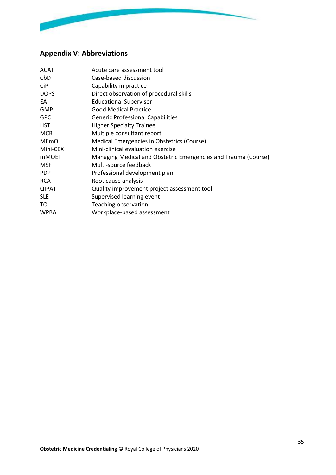

# <span id="page-34-0"></span>**Appendix V: Abbreviations**

| <b>ACAT</b>            | Acute care assessment tool                                     |
|------------------------|----------------------------------------------------------------|
| CbD                    | Case-based discussion                                          |
| <b>CiP</b>             | Capability in practice                                         |
| <b>DOPS</b>            | Direct observation of procedural skills                        |
| EA                     | <b>Educational Supervisor</b>                                  |
| <b>GMP</b>             | <b>Good Medical Practice</b>                                   |
| <b>GPC</b>             | <b>Generic Professional Capabilities</b>                       |
| <b>HST</b>             | <b>Higher Specialty Trainee</b>                                |
| <b>MCR</b>             | Multiple consultant report                                     |
| <b>ME<sub>mO</sub></b> | Medical Emergencies in Obstetrics (Course)                     |
| Mini-CEX               | Mini-clinical evaluation exercise                              |
| <b>mMOET</b>           | Managing Medical and Obstetric Emergencies and Trauma (Course) |
| <b>MSF</b>             | Multi-source feedback                                          |
| <b>PDP</b>             | Professional development plan                                  |
| <b>RCA</b>             | Root cause analysis                                            |
| <b>QIPAT</b>           | Quality improvement project assessment tool                    |
| <b>SLE</b>             | Supervised learning event                                      |
| TO                     | Teaching observation                                           |
| <b>WPBA</b>            | Workplace-based assessment                                     |
|                        |                                                                |